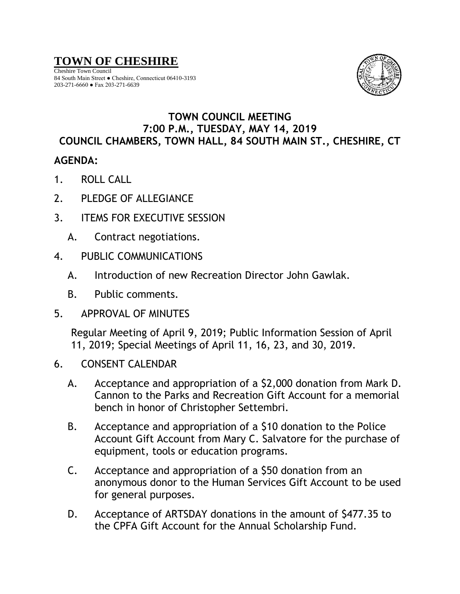## **TOWN OF CHESHIRE**

Cheshire Town Council 84 South Main Street ● Cheshire, Connecticut 06410-3193 203-271-6660 ● Fax 203-271-6639



## **TOWN COUNCIL MEETING 7:00 P.M., TUESDAY, MAY 14, 2019 COUNCIL CHAMBERS, TOWN HALL, 84 SOUTH MAIN ST., CHESHIRE, CT**

## **AGENDA:**

- 1. ROLL CALL
- 2. PLEDGE OF ALLEGIANCE
- 3. ITEMS FOR EXECUTIVE SESSION
	- A. Contract negotiations.
- 4. PUBLIC COMMUNICATIONS
	- A. Introduction of new Recreation Director John Gawlak.
	- B. Public comments.
- 5. APPROVAL OF MINUTES

Regular Meeting of April 9, 2019; Public Information Session of April 11, 2019; Special Meetings of April 11, 16, 23, and 30, 2019.

- 6. CONSENT CALENDAR
	- A. Acceptance and appropriation of a \$2,000 donation from Mark D. Cannon to the Parks and Recreation Gift Account for a memorial bench in honor of Christopher Settembri.
	- B. Acceptance and appropriation of a \$10 donation to the Police Account Gift Account from Mary C. Salvatore for the purchase of equipment, tools or education programs.
	- C. Acceptance and appropriation of a \$50 donation from an anonymous donor to the Human Services Gift Account to be used for general purposes.
	- D. Acceptance of ARTSDAY donations in the amount of \$477.35 to the CPFA Gift Account for the Annual Scholarship Fund.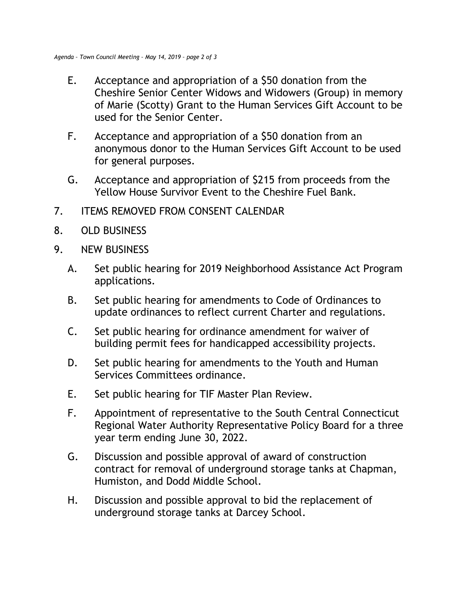- E. Acceptance and appropriation of a \$50 donation from the Cheshire Senior Center Widows and Widowers (Group) in memory of Marie (Scotty) Grant to the Human Services Gift Account to be used for the Senior Center.
- F. Acceptance and appropriation of a \$50 donation from an anonymous donor to the Human Services Gift Account to be used for general purposes.
- G. Acceptance and appropriation of \$215 from proceeds from the Yellow House Survivor Event to the Cheshire Fuel Bank.
- 7. ITEMS REMOVED FROM CONSENT CALENDAR
- 8. OLD BUSINESS
- 9. NEW BUSINESS
	- A. Set public hearing for 2019 Neighborhood Assistance Act Program applications.
	- B. Set public hearing for amendments to Code of Ordinances to update ordinances to reflect current Charter and regulations.
	- C. Set public hearing for ordinance amendment for waiver of building permit fees for handicapped accessibility projects.
	- D. Set public hearing for amendments to the Youth and Human Services Committees ordinance.
	- E. Set public hearing for TIF Master Plan Review.
	- F. Appointment of representative to the South Central Connecticut Regional Water Authority Representative Policy Board for a three year term ending June 30, 2022.
	- G. Discussion and possible approval of award of construction contract for removal of underground storage tanks at Chapman, Humiston, and Dodd Middle School.
	- H. Discussion and possible approval to bid the replacement of underground storage tanks at Darcey School.